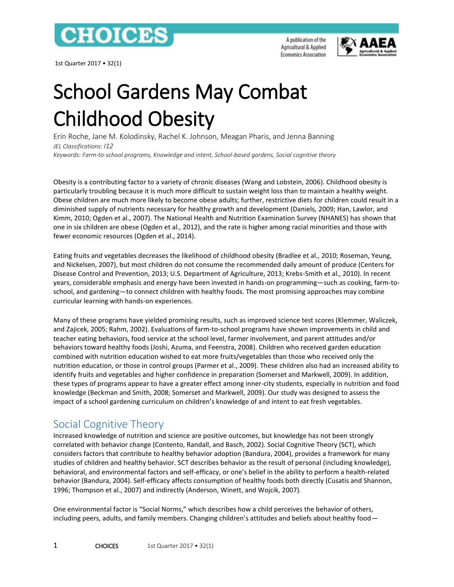

1st Quarter 2017 • 32(1)

A publication of the Agricultural & Applied **Economics Association** 



# School Gardens May Combat Childhood Obesity

Erin Roche, Jane M. Kolodinsky, Rachel K. Johnson, Meagan Pharis, and Jenna Banning *JEL Classifications: I12*

*Keywords: Farm-to-school programs, Knowledge and intent, School-based gardens, Social cognitive theory*

Obesity is a contributing factor to a variety of chronic diseases (Wang and Lobstein, 2006). Childhood obesity is particularly troubling because it is much more difficult to sustain weight loss than to maintain a healthy weight. Obese children are much more likely to become obese adults; further, restrictive diets for children could result in a diminished supply of nutrients necessary for healthy growth and development (Daniels, 2009; Han, Lawlor, and Kimm, 2010; Ogden et al., 2007). The National Health and Nutrition Examination Survey (NHANES) has shown that one in six children are obese (Ogden et al., 2012), and the rate is higher among racial minorities and those with fewer economic resources (Ogden et al., 2014).

Eating fruits and vegetables decreases the likelihood of childhood obesity (Bradlee et al., 2010; Roseman, Yeung, and Nickelsen, 2007), but most children do not consume the recommended daily amount of produce (Centers for Disease Control and Prevention, 2013; U.S. Department of Agriculture, 2013; Krebs-Smith et al., 2010). In recent years, considerable emphasis and energy have been invested in hands-on programming—such as cooking, farm-toschool, and gardening—to connect children with healthy foods. The most promising approaches may combine curricular learning with hands-on experiences.

Many of these programs have yielded promising results, such as improved science test scores (Klemmer, Waliczek, and Zajicek, 2005; Rahm, 2002). Evaluations of farm-to-school programs have shown improvements in child and teacher eating behaviors, food service at the school level, farmer involvement, and parent attitudes and/or behaviors toward healthy foods (Joshi, Azuma, and Feenstra, 2008). Children who received garden education combined with nutrition education wished to eat more fruits/vegetables than those who received only the nutrition education, or those in control groups (Parmer et al., 2009). These children also had an increased ability to identify fruits and vegetables and higher confidence in preparation (Somerset and Markwell, 2009). In addition, these types of programs appear to have a greater effect among inner-city students, especially in nutrition and food knowledge (Beckman and Smith, 2008; Somerset and Markwell, 2009). Our study was designed to assess the impact of a school gardening curriculum on children's knowledge of and intent to eat fresh vegetables.

# Social Cognitive Theory

Increased knowledge of nutrition and science are positive outcomes, but knowledge has not been strongly correlated with behavior change (Contento, Randall, and Basch, 2002). Social Cognitive Theory (SCT), which considers factors that contribute to healthy behavior adoption (Bandura, 2004), provides a framework for many studies of children and healthy behavior. SCT describes behavior as the result of personal (including knowledge), behavioral, and environmental factors and self-efficacy, or one's belief in the ability to perform a health-related behavior (Bandura, 2004). Self-efficacy affects consumption of healthy foods both directly (Cusatis and Shannon, 1996; Thompson et al., 2007) and indirectly (Anderson, Winett, and Wojcik, 2007).

One environmental factor is "Social Norms," which describes how a child perceives the behavior of others, including peers, adults, and family members. Changing children's attitudes and beliefs about healthy food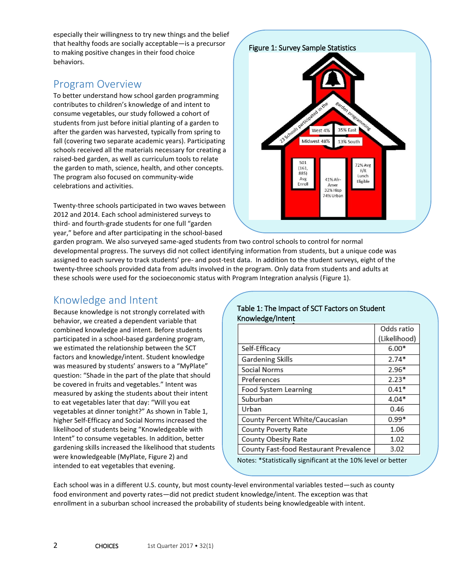especially their willingness to try new things and the belief that healthy foods are socially acceptable—is a precursor to making positive changes in their food choice behaviors.

# Program Overview

To better understand how school garden programming contributes to children's knowledge of and intent to consume vegetables, our study followed a cohort of students from just before initial planting of a garden to after the garden was harvested, typically from spring to fall (covering two separate academic years). Participating schools received all the materials necessary for creating a raised-bed garden, as well as curriculum tools to relate the garden to math, science, health, and other concepts. The program also focused on community-wide celebrations and activities.

Twenty-three schools participated in two waves between 2012 and 2014. Each school administered surveys to third- and fourth-grade students for one full "garden year," before and after participating in the school-based

garden program. We also surveyed same-aged students from two control schools to control for normal developmental progress. The surveys did not collect identifying information from students, but a unique code was assigned to each survey to track students' pre- and post-test data. In addition to the student surveys, eight of the twenty-three schools provided data from adults involved in the program. Only data from students and adults at these schools were used for the socioeconomic status with Program Integration analysis (Figure 1).

# Knowledge and Intent

Because knowledge is not strongly correlated with behavior, we created a dependent variable that combined knowledge and intent. Before students participated in a school-based gardening program, we estimated the relationship between the SCT factors and knowledge/intent. Student knowledge was measured by students' answers to a "MyPlate" question: "Shade in the part of the plate that should be covered in fruits and vegetables." Intent was measured by asking the students about their intent to eat vegetables later that day: "Will you eat vegetables at dinner tonight?" As shown in Table 1, higher Self-Efficacy and Social Norms increased the likelihood of students being "Knowledgeable with Intent" to consume vegetables. In addition, better gardening skills increased the likelihood that students were knowledgeable (MyPlate, Figure 2) and intended to eat vegetables that evening.

#### Table 1: The Impact of SCT Factors on Student Knowledge/Intent

|                                                                                                                   | Odds ratio   |  |
|-------------------------------------------------------------------------------------------------------------------|--------------|--|
|                                                                                                                   | (Likelihood) |  |
| Self-Efficacy                                                                                                     | $6.00*$      |  |
| Gardening Skills                                                                                                  | $2.74*$      |  |
| Social Norms                                                                                                      | $2.96*$      |  |
| Preferences                                                                                                       | $2.23*$      |  |
| Food System Learning                                                                                              | $0.41*$      |  |
| Suburban                                                                                                          | $4.04*$      |  |
| Urban                                                                                                             | 0.46         |  |
| County Percent White/Caucasian                                                                                    | $0.99*$      |  |
| County Poverty Rate                                                                                               | 1.06         |  |
| County Obesity Rate                                                                                               | 1.02         |  |
| County Fast-food Restaurant Prevalence                                                                            | 3.02         |  |
| $\mathbf{A}$ , the state $\mathbf{A}$ , and $\mathbf{A}$ , and $\mathbf{A}$ , and $\mathbf{A}$ , and $\mathbf{A}$ |              |  |

Notes: \*Statistically significant at the 10% level or better

Each school was in a different U.S. county, but most county-level environmental variables tested—such as county food environment and poverty rates—did not predict student knowledge/intent. The exception was that enrollment in a suburban school increased the probability of students being knowledgeable with intent.

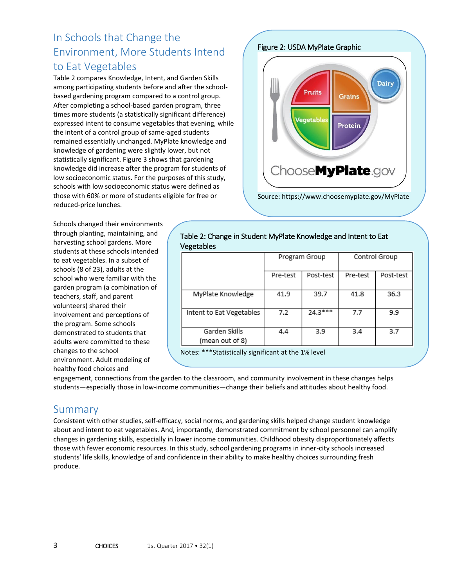# In Schools that Change the Environment, More Students Intend to Eat Vegetables

Table 2 compares Knowledge, Intent, and Garden Skills among participating students before and after the schoolbased gardening program compared to a control group. After completing a school-based garden program, three times more students (a statistically significant difference) expressed intent to consume vegetables that evening, while the intent of a control group of same-aged students remained essentially unchanged. MyPlate knowledge and knowledge of gardening were slightly lower, but not statistically significant. Figure 3 shows that gardening knowledge did increase after the program for students of low socioeconomic status. For the purposes of this study, schools with low socioeconomic status were defined as those with 60% or more of students eligible for free or reduced-price lunches.

Schools changed their environments through planting, maintaining, and harvesting school gardens. More students at these schools intended to eat vegetables. In a subset of schools (8 of 23), adults at the school who were familiar with the garden program (a combination of teachers, staff, and parent volunteers) shared their involvement and perceptions of the program. Some schools demonstrated to students that adults were committed to these changes to the school environment. Adult modeling of healthy food choices and

Figure 2: USDA MyPlate Graphic



| Table 2: Change in Student MyPlate Knowledge and Intent to Eat |
|----------------------------------------------------------------|
| Vegetables                                                     |

|                                  | Program Group |           | Control Group |           |
|----------------------------------|---------------|-----------|---------------|-----------|
|                                  | Pre-test      | Post-test | Pre-test      | Post-test |
| MyPlate Knowledge                | 41.9          | 39.7      | 41.8          | 36.3      |
| Intent to Eat Vegetables         | 7.2           | $24.3***$ | 7.7           | 9.9       |
| Garden Skills<br>(mean out of 8) | 4.4           | 3.9       | 3.4           | 3.7       |

Notes: \*\*\*Statistically significant at the 1% level

engagement, connections from the garden to the classroom, and community involvement in these changes helps students—especially those in low-income communities—change their beliefs and attitudes about healthy food.

### Summary

Consistent with other studies, self-efficacy, social norms, and gardening skills helped change student knowledge about and intent to eat vegetables. And, importantly, demonstrated commitment by school personnel can amplify changes in gardening skills, especially in lower income communities. Childhood obesity disproportionately affects those with fewer economic resources. In this study, school gardening programs in inner-city schools increased students' life skills, knowledge of and confidence in their ability to make healthy choices surrounding fresh produce.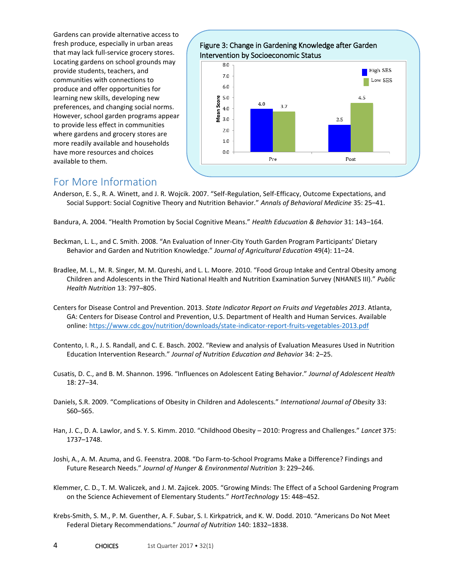Gardens can provide alternative access to fresh produce, especially in urban areas that may lack full-service grocery stores. Locating gardens on school grounds may provide students, teachers, and communities with connections to produce and offer opportunities for learning new skills, developing new preferences, and changing social norms. However, school garden programs appear to provide less effect in communities where gardens and grocery stores are more readily available and households have more resources and choices available to them.



#### For More Information

Anderson, E. S., R. A. Winett, and J. R. Wojcik. 2007. "Self-Regulation, Self-Efficacy, Outcome Expectations, and Social Support: Social Cognitive Theory and Nutrition Behavior." *Annals of Behavioral Medicine* 35: 25–41.

Bandura, A. 2004. "Health Promotion by Social Cognitive Means." *Health Educuation & Behavior* 31: 143–164.

- Beckman, L. L., and C. Smith. 2008. "An Evaluation of Inner-City Youth Garden Program Participants' Dietary Behavior and Garden and Nutrition Knowledge." *Journal of Agricultural Education* 49(4): 11–24.
- Bradlee, M. L., M. R. Singer, M. M. Qureshi, and L. L. Moore. 2010. "Food Group Intake and Central Obesity among Children and Adolescents in the Third National Health and Nutrition Examination Survey (NHANES III)." *Public Health Nutrition* 13: 797–805.
- Centers for Disease Control and Prevention. 2013. *State Indicator Report on Fruits and Vegetables 2013*. Atlanta, GA: Centers for Disease Control and Prevention, U.S. Department of Health and Human Services. Available online[: https://www.cdc.gov/nutrition/downloads/state-indicator-report-fruits-vegetables-2013.pdf](https://www.cdc.gov/nutrition/downloads/state-indicator-report-fruits-vegetables-2013.pdf)
- Contento, I. R., J. S. Randall, and C. E. Basch. 2002. "Review and analysis of Evaluation Measures Used in Nutrition Education Intervention Research." *Journal of Nutrition Education and Behavior* 34: 2–25.
- Cusatis, D. C., and B. M. Shannon. 1996. "Influences on Adolescent Eating Behavior." *Journal of Adolescent Health* 18: 27–34.
- Daniels, S.R. 2009. "Complications of Obesity in Children and Adolescents." *International Journal of Obesity* 33: S60–S65.
- Han, J. C., D. A. Lawlor, and S. Y. S. Kimm. 2010. "Childhood Obesity 2010: Progress and Challenges." *Lancet* 375: 1737–1748.
- Joshi, A., A. M. Azuma, and G. Feenstra. 2008. "Do Farm-to-School Programs Make a Difference? Findings and Future Research Needs." *Journal of Hunger & Environmental Nutrition* 3: 229–246.
- Klemmer, C. D., T. M. Waliczek, and J. M. Zajicek. 2005. "Growing Minds: The Effect of a School Gardening Program on the Science Achievement of Elementary Students." *HortTechnology* 15: 448–452.
- Krebs-Smith, S. M., P. M. Guenther, A. F. Subar, S. I. Kirkpatrick, and K. W. Dodd. 2010. "Americans Do Not Meet Federal Dietary Recommendations." *Journal of Nutrition* 140: 1832–1838.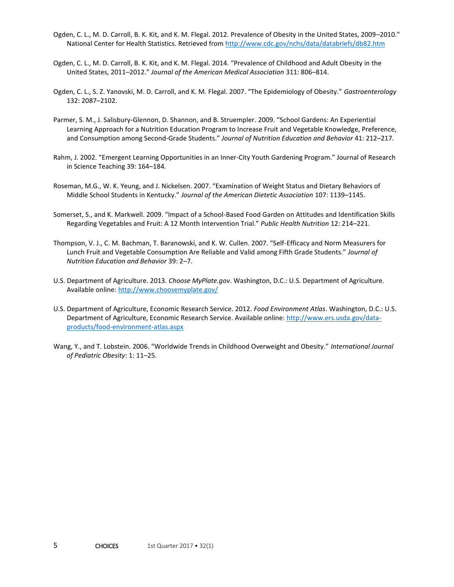- Ogden, C. L., M. D. Carroll, B. K. Kit, and K. M. Flegal. 2012. Prevalence of Obesity in the United States, 2009–2010." National Center for Health Statistics. Retrieved from<http://www.cdc.gov/nchs/data/databriefs/db82.htm>
- Ogden, C. L., M. D. Carroll, B. K. Kit, and K. M. Flegal. 2014. "Prevalence of Childhood and Adult Obesity in the United States, 2011–2012." *Journal of the American Medical Association* 311: 806–814.
- Ogden, C. L., S. Z. Yanovski, M. D. Carroll, and K. M. Flegal. 2007. "The Epidemiology of Obesity." *Gastroenterology* 132: 2087–2102.
- Parmer, S. M., J. Salisbury-Glennon, D. Shannon, and B. Struempler. 2009. "School Gardens: An Experiential Learning Approach for a Nutrition Education Program to Increase Fruit and Vegetable Knowledge, Preference, and Consumption among Second-Grade Students." *Journal of Nutrition Education and Behavior* 41: 212–217.
- Rahm, J. 2002. "Emergent Learning Opportunities in an Inner-City Youth Gardening Program." Journal of Research in Science Teaching 39: 164–184.
- Roseman, M.G., W. K. Yeung, and J. Nickelsen. 2007. "Examination of Weight Status and Dietary Behaviors of Middle School Students in Kentucky." *Journal of the American Dietetic Association* 107: 1139–1145.
- Somerset, S., and K. Markwell. 2009. "Impact of a School-Based Food Garden on Attitudes and Identification Skills Regarding Vegetables and Fruit: A 12 Month Intervention Trial." *Public Health Nutrition* 12: 214–221.
- Thompson, V. J., C. M. Bachman, T. Baranowski, and K. W. Cullen. 2007. "Self-Efficacy and Norm Measurers for Lunch Fruit and Vegetable Consumption Are Reliable and Valid among Fifth Grade Students." *Journal of Nutrition Education and Behavior* 39: 2–7.
- U.S. Department of Agriculture. 2013. *Choose MyPlate.gov*. Washington, D.C.: U.S. Department of Agriculture. Available online[: http://www.choosemyplate.gov/](http://www.choosemyplate.gov/)
- U.S. Department of Agriculture, Economic Research Service. 2012. *Food Environment Atlas*. Washington, D.C.: U.S. Department of Agriculture, Economic Research Service. Available online[: http://www.ers.usda.gov/data](http://www.ers.usda.gov/data-products/food-environment-atlas.aspx)[products/food-environment-atlas.aspx](http://www.ers.usda.gov/data-products/food-environment-atlas.aspx)
- Wang, Y., and T. Lobstein. 2006. "Worldwide Trends in Childhood Overweight and Obesity." *International Journal of Pediatric Obesity*: 1: 11–25.